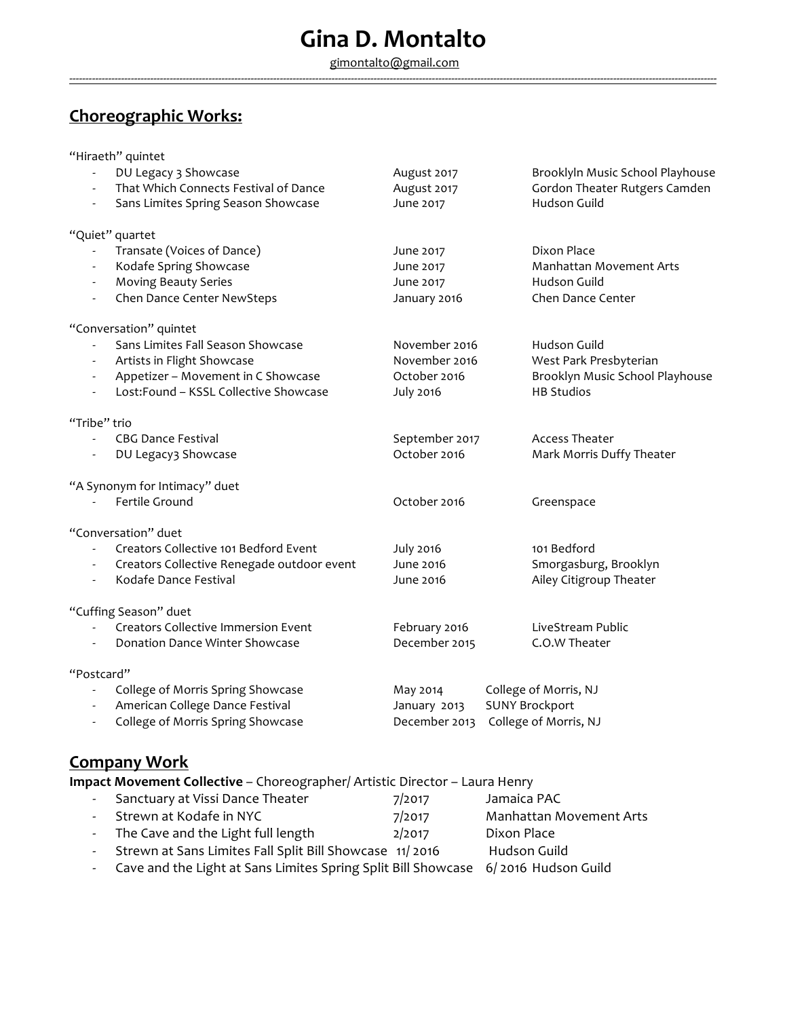gimontalto@gmail.com --------------------------------------------------------------------------------------------------------------------------------------------------------------------------------------------------------

# **Choreographic Works:**

|                          | "Hiraeth" quintet                                                           |                  |                                  |
|--------------------------|-----------------------------------------------------------------------------|------------------|----------------------------------|
|                          | DU Legacy 3 Showcase                                                        | August 2017      | Brooklyln Music School Playhouse |
|                          | That Which Connects Festival of Dance                                       | August 2017      | Gordon Theater Rutgers Camden    |
|                          | Sans Limites Spring Season Showcase                                         | June 2017        | Hudson Guild                     |
|                          | "Quiet" quartet                                                             |                  |                                  |
|                          | Transate (Voices of Dance)                                                  | June 2017        | Dixon Place                      |
|                          | Kodafe Spring Showcase                                                      | June 2017        | Manhattan Movement Arts          |
|                          | <b>Moving Beauty Series</b>                                                 | June 2017        | Hudson Guild                     |
|                          | Chen Dance Center NewSteps                                                  | January 2016     | Chen Dance Center                |
|                          | "Conversation" quintet                                                      |                  |                                  |
|                          | Sans Limites Fall Season Showcase                                           | November 2016    | Hudson Guild                     |
|                          | Artists in Flight Showcase                                                  | November 2016    | West Park Presbyterian           |
|                          | Appetizer - Movement in C Showcase                                          | October 2016     | Brooklyn Music School Playhouse  |
|                          | Lost:Found - KSSL Collective Showcase                                       | <b>July 2016</b> | <b>HB Studios</b>                |
| "Tribe" trio             |                                                                             |                  |                                  |
| $\overline{\phantom{a}}$ | <b>CBG Dance Festival</b>                                                   | September 2017   | <b>Access Theater</b>            |
|                          | DU Legacy3 Showcase                                                         | October 2016     | Mark Morris Duffy Theater        |
|                          | "A Synonym for Intimacy" duet                                               |                  |                                  |
|                          | Fertile Ground                                                              | October 2016     | Greenspace                       |
|                          | "Conversation" duet                                                         |                  |                                  |
|                          | Creators Collective 101 Bedford Event                                       | <b>July 2016</b> | 101 Bedford                      |
|                          | Creators Collective Renegade outdoor event                                  | June 2016        | Smorgasburg, Brooklyn            |
|                          | Kodafe Dance Festival                                                       | June 2016        | Ailey Citigroup Theater          |
|                          | "Cuffing Season" duet                                                       |                  |                                  |
|                          | <b>Creators Collective Immersion Event</b>                                  | February 2016    | LiveStream Public                |
|                          | <b>Donation Dance Winter Showcase</b>                                       | December 2015    | C.O.W Theater                    |
| "Postcard"               |                                                                             |                  |                                  |
| $\overline{\phantom{a}}$ | College of Morris Spring Showcase                                           | May 2014         | College of Morris, NJ            |
|                          | American College Dance Festival                                             | January 2013     | <b>SUNY Brockport</b>            |
|                          | College of Morris Spring Showcase                                           | December 2013    | College of Morris, NJ            |
|                          |                                                                             |                  |                                  |
|                          | <u>Company Work</u>                                                         |                  |                                  |
|                          | Impact Movement Collective - Choreographer/ Artistic Director - Laura Henry |                  |                                  |
|                          |                                                                             |                  |                                  |

| - Sanctuary at Vissi Dance Theater                                                  | 7/2017 | Jamaica PAC                    |
|-------------------------------------------------------------------------------------|--------|--------------------------------|
| - Strewn at Kodafe in NYC                                                           | 7/2017 | <b>Manhattan Movement Arts</b> |
| - The Cave and the Light full length                                                | 2/2017 | Dixon Place                    |
| - Strewn at Sans Limites Fall Split Bill Showcase 11/2016                           |        | Hudson Guild                   |
| - Cave and the Light at Sans Limites Spring Split Bill Showcase 6/2016 Hudson Guild |        |                                |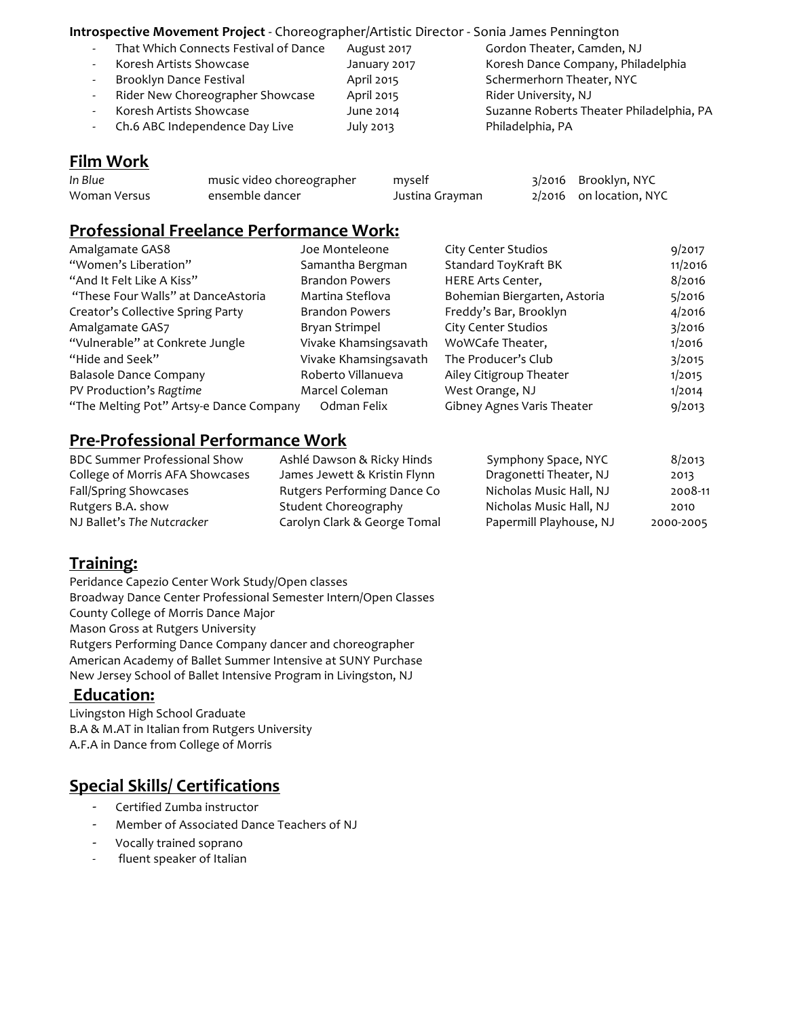#### **Introspective Movement Project** - Choreographer/Artistic Director - Sonia James Pennington

- That Which Connects Festival of Dance August 2017 Gordon Theater, Camden, NJ
- Koresh Artists Showcase The January 2017 Koresh Dance Company, Philadelphia
- 
- Rider New Choreographer Showcase April 2015 Rider University, NJ
- 
- Ch.6 ABC Independence Day Live July 2013 Philadelphia, PA

Brooklyn Dance Festival **April 2015** Schermerhorn Theater, NYC - Koresh Artists Showcase June 2014 Suzanne Roberts Theater Philadelphia, PA

## **Film Work**

| In Blue      | music video choreographer | myself          | 3/2016 Brooklyn, NYC      |
|--------------|---------------------------|-----------------|---------------------------|
| Woman Versus | ensemble dancer           | Justina Grayman | $2/2016$ on location, NYC |

#### **Professional Freelance Performance Work:**

| Amalgamate GAS8                         | Joe Monteleone        | City Center Studios          | 9/2017  |
|-----------------------------------------|-----------------------|------------------------------|---------|
| "Women's Liberation"                    | Samantha Bergman      | Standard ToyKraft BK         | 11/2016 |
| "And It Felt Like A Kiss"               | <b>Brandon Powers</b> | HERE Arts Center,            | 8/2016  |
| "These Four Walls" at DanceAstoria      | Martina Steflova      | Bohemian Biergarten, Astoria | 5/2016  |
| Creator's Collective Spring Party       | <b>Brandon Powers</b> | Freddy's Bar, Brooklyn       | 4/2016  |
| Amalgamate GAS7                         | Bryan Strimpel        | City Center Studios          | 3/2016  |
| "Vulnerable" at Conkrete Jungle         | Vivake Khamsingsavath | WoWCafe Theater,             | 1/2016  |
| "Hide and Seek"                         | Vivake Khamsingsavath | The Producer's Club          | 3/2015  |
| <b>Balasole Dance Company</b>           | Roberto Villanueva    | Ailey Citigroup Theater      | 1/2015  |
| PV Production's Ragtime                 | Marcel Coleman        | West Orange, NJ              | 1/2014  |
| "The Melting Pot" Artsy-e Dance Company | Odman Felix           | Gibney Agnes Varis Theater   | 9/2013  |

#### **Pre-Professional Performance Work**

| <b>BDC Summer Professional Show</b> | Ashlé Dawson & Ricky Hinds   | Symphony Space, NYC     | 8/2013    |
|-------------------------------------|------------------------------|-------------------------|-----------|
| College of Morris AFA Showcases     | James Jewett & Kristin Flynn | Dragonetti Theater, NJ  | 2013      |
| Fall/Spring Showcases               | Rutgers Performing Dance Co  | Nicholas Music Hall, NJ | 2008-11   |
| Rutgers B.A. show                   | Student Choreography         | Nicholas Music Hall, NJ | 2010      |
| NJ Ballet's The Nutcracker          | Carolyn Clark & George Tomal | Papermill Playhouse, NJ | 2000-2005 |

### **Training:**

Peridance Capezio Center Work Study/Open classes Broadway Dance Center Professional Semester Intern/Open Classes County College of Morris Dance Major Mason Gross at Rutgers University Rutgers Performing Dance Company dancer and choreographer American Academy of Ballet Summer Intensive at SUNY Purchase New Jersey School of Ballet Intensive Program in Livingston, NJ

#### **Education:**

Livingston High School Graduate B.A & M.AT in Italian from Rutgers University A.F.A in Dance from College of Morris

### **Special Skills/ Certifications**

- Certified Zumba instructor
- Member of Associated Dance Teachers of NJ
- Vocally trained soprano
- fluent speaker of Italian